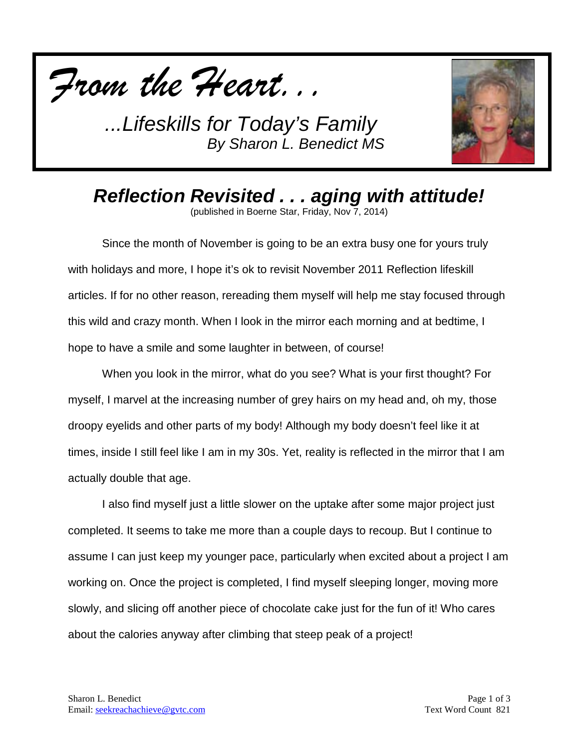

*...Lifeskills for Today's Family By Sharon L. Benedict MS*



*Reflection Revisited . . . aging with attitude!*

(published in Boerne Star, Friday, Nov 7, 2014)

Since the month of November is going to be an extra busy one for yours truly with holidays and more, I hope it's ok to revisit November 2011 Reflection lifeskill articles. If for no other reason, rereading them myself will help me stay focused through this wild and crazy month. When I look in the mirror each morning and at bedtime, I hope to have a smile and some laughter in between, of course!

When you look in the mirror, what do you see? What is your first thought? For myself, I marvel at the increasing number of grey hairs on my head and, oh my, those droopy eyelids and other parts of my body! Although my body doesn't feel like it at times, inside I still feel like I am in my 30s. Yet, reality is reflected in the mirror that I am actually double that age.

I also find myself just a little slower on the uptake after some major project just completed. It seems to take me more than a couple days to recoup. But I continue to assume I can just keep my younger pace, particularly when excited about a project I am working on. Once the project is completed, I find myself sleeping longer, moving more slowly, and slicing off another piece of chocolate cake just for the fun of it! Who cares about the calories anyway after climbing that steep peak of a project!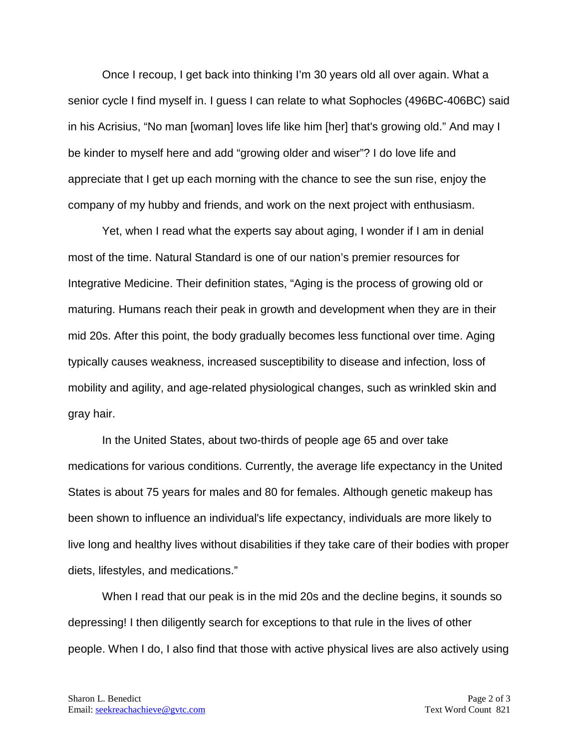Once I recoup, I get back into thinking I'm 30 years old all over again. What a senior cycle I find myself in. I guess I can relate to what Sophocles (496BC-406BC) said in his Acrisius, "No man [woman] loves life like him [her] that's growing old." And may I be kinder to myself here and add "growing older and wiser"? I do love life and appreciate that I get up each morning with the chance to see the sun rise, enjoy the company of my hubby and friends, and work on the next project with enthusiasm.

Yet, when I read what the experts say about aging, I wonder if I am in denial most of the time. Natural Standard is one of our nation's premier resources for Integrative Medicine. Their definition states, "Aging is the process of growing old or maturing. Humans reach their peak in growth and development when they are in their mid 20s. After this point, the body gradually becomes less functional over time. Aging typically causes weakness, increased susceptibility to disease and infection, loss of mobility and agility, and age-related physiological changes, such as wrinkled skin and gray hair.

In the United States, about two-thirds of people age 65 and over take medications for various conditions. Currently, the average life expectancy in the United States is about 75 years for males and 80 for females. Although genetic makeup has been shown to influence an individual's life expectancy, individuals are more likely to live long and healthy lives without disabilities if they take care of their bodies with proper diets, lifestyles, and medications."

When I read that our peak is in the mid 20s and the decline begins, it sounds so depressing! I then diligently search for exceptions to that rule in the lives of other people. When I do, I also find that those with active physical lives are also actively using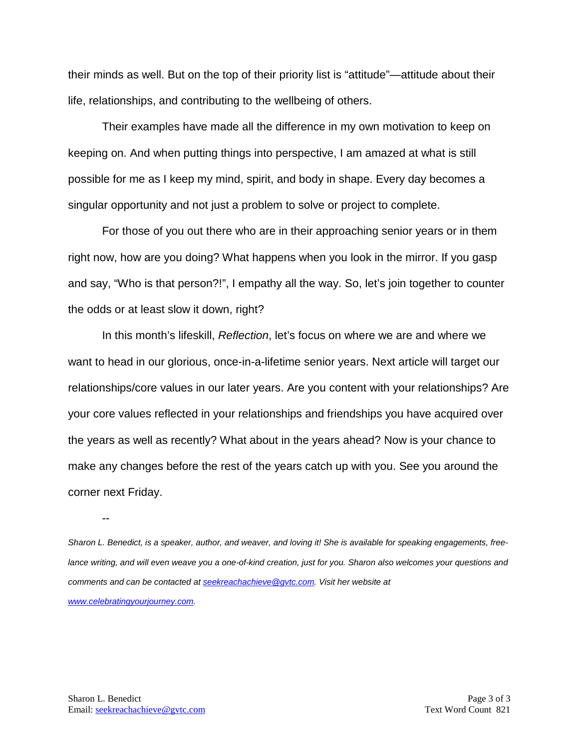their minds as well. But on the top of their priority list is "attitude"—attitude about their life, relationships, and contributing to the wellbeing of others.

Their examples have made all the difference in my own motivation to keep on keeping on. And when putting things into perspective, I am amazed at what is still possible for me as I keep my mind, spirit, and body in shape. Every day becomes a singular opportunity and not just a problem to solve or project to complete.

For those of you out there who are in their approaching senior years or in them right now, how are you doing? What happens when you look in the mirror. If you gasp and say, "Who is that person?!", I empathy all the way. So, let's join together to counter the odds or at least slow it down, right?

In this month's lifeskill, *Reflection*, let's focus on where we are and where we want to head in our glorious, once-in-a-lifetime senior years. Next article will target our relationships/core values in our later years. Are you content with your relationships? Are your core values reflected in your relationships and friendships you have acquired over the years as well as recently? What about in the years ahead? Now is your chance to make any changes before the rest of the years catch up with you. See you around the corner next Friday.

--

*Sharon L. Benedict, is a speaker, author, and weaver, and loving it! She is available for speaking engagements, freelance writing, and will even weave you a one-of-kind creation, just for you. Sharon also welcomes your questions and comments and can be contacted a[t seekreachachieve@gvtc.com.](mailto:seekreachachieve@gvtc.com) Visit her website at [www.celebratingyourjourney.com.](http://www.celebratingyourjourney.com/)*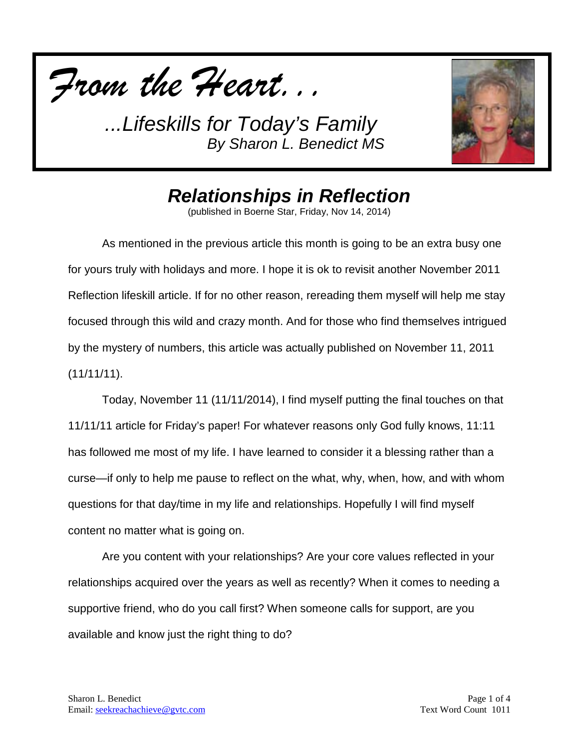

*...Lifeskills for Today's Family By Sharon L. Benedict MS*



## *Relationships in Reflection*

(published in Boerne Star, Friday, Nov 14, 2014)

As mentioned in the previous article this month is going to be an extra busy one for yours truly with holidays and more. I hope it is ok to revisit another November 2011 Reflection lifeskill article. If for no other reason, rereading them myself will help me stay focused through this wild and crazy month. And for those who find themselves intrigued by the mystery of numbers, this article was actually published on November 11, 2011  $(11/11/11)$ .

Today, November 11 (11/11/2014), I find myself putting the final touches on that 11/11/11 article for Friday's paper! For whatever reasons only God fully knows, 11:11 has followed me most of my life. I have learned to consider it a blessing rather than a curse—if only to help me pause to reflect on the what, why, when, how, and with whom questions for that day/time in my life and relationships. Hopefully I will find myself content no matter what is going on.

Are you content with your relationships? Are your core values reflected in your relationships acquired over the years as well as recently? When it comes to needing a supportive friend, who do you call first? When someone calls for support, are you available and know just the right thing to do?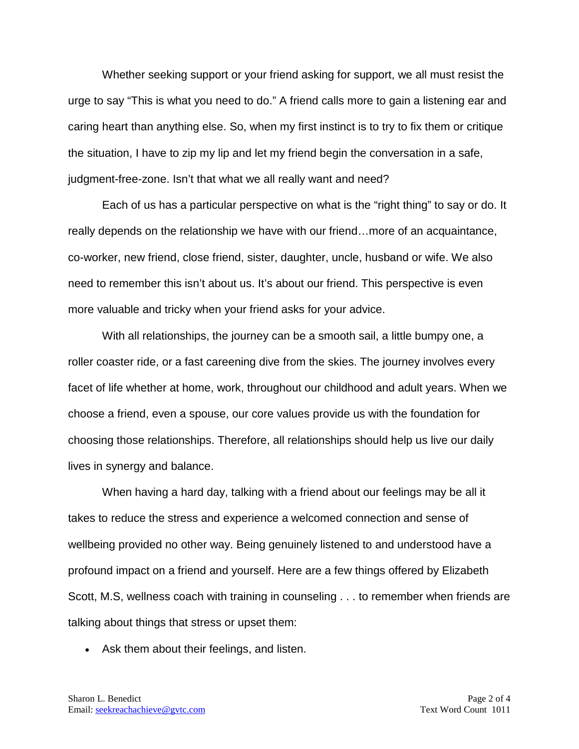Whether seeking support or your friend asking for support, we all must resist the urge to say "This is what you need to do." A friend calls more to gain a listening ear and caring heart than anything else. So, when my first instinct is to try to fix them or critique the situation, I have to zip my lip and let my friend begin the conversation in a safe, judgment-free-zone. Isn't that what we all really want and need?

Each of us has a particular perspective on what is the "right thing" to say or do. It really depends on the relationship we have with our friend…more of an acquaintance, co-worker, new friend, close friend, sister, daughter, uncle, husband or wife. We also need to remember this isn't about us. It's about our friend. This perspective is even more valuable and tricky when your friend asks for your advice.

With all relationships, the journey can be a smooth sail, a little bumpy one, a roller coaster ride, or a fast careening dive from the skies. The journey involves every facet of life whether at home, work, throughout our childhood and adult years. When we choose a friend, even a spouse, our core values provide us with the foundation for choosing those relationships. Therefore, all relationships should help us live our daily lives in synergy and balance.

When having a hard day, talking with a friend about our feelings may be all it takes to reduce the stress and experience a welcomed connection and sense of wellbeing provided no other way. Being genuinely listened to and understood have a profound impact on a friend and yourself. Here are a few things offered by Elizabeth Scott, M.S, wellness coach with training in counseling . . . to remember when friends are talking about things that stress or upset them:

• Ask them about their feelings, and listen.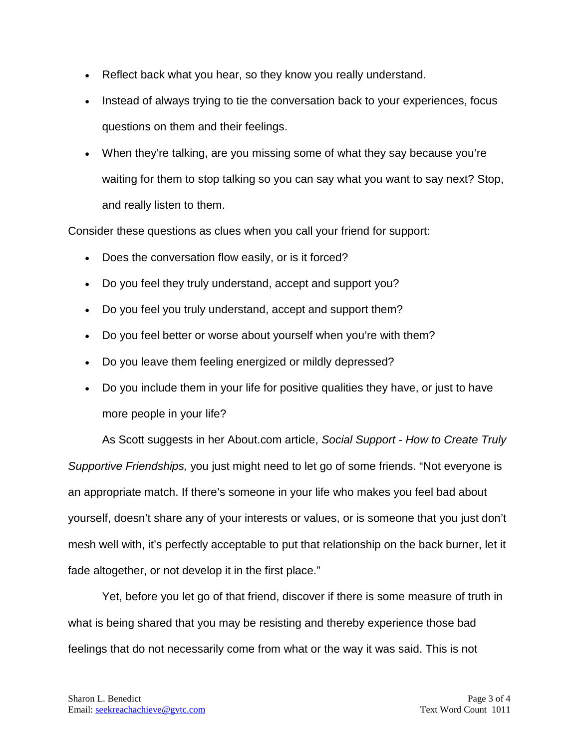- Reflect back what you hear, so they know you really understand.
- Instead of always trying to tie the conversation back to your experiences, focus questions on them and their feelings.
- When they're talking, are you missing some of what they say because you're waiting for them to stop talking so you can say what you want to say next? Stop, and really listen to them.

Consider these questions as clues when you call your friend for support:

- Does the conversation flow easily, or is it forced?
- Do you feel they truly understand, accept and support you?
- Do you feel you truly understand, accept and support them?
- Do you feel better or worse about yourself when you're with them?
- Do you leave them feeling energized or mildly depressed?
- Do you include them in your life for positive qualities they have, or just to have more people in your life?

As Scott suggests in her About.com article, *Social Support - How to Create Truly Supportive Friendships,* you just might need to let go of some friends. "Not everyone is an appropriate match. If there's someone in your life who makes you feel bad about yourself, doesn't share any of your interests or values, or is someone that you just don't mesh well with, it's perfectly acceptable to put that relationship on the back burner, let it fade altogether, or not develop it in the first place."

Yet, before you let go of that friend, discover if there is some measure of truth in what is being shared that you may be resisting and thereby experience those bad feelings that do not necessarily come from what or the way it was said. This is not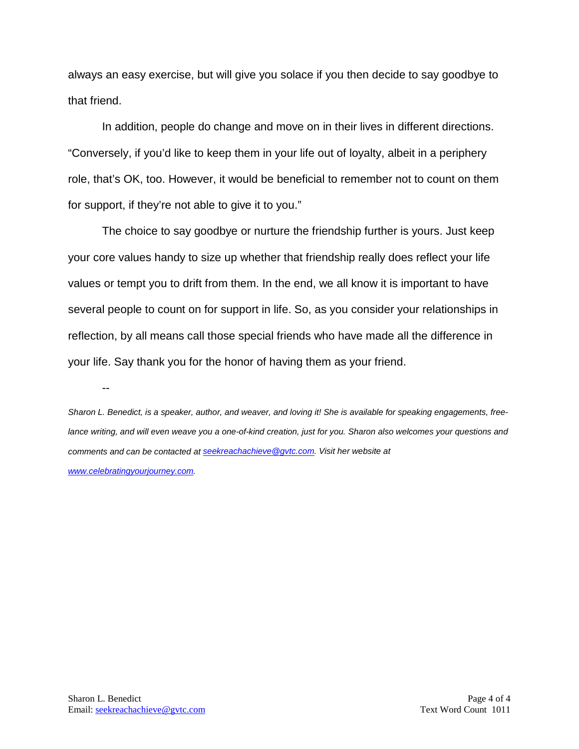always an easy exercise, but will give you solace if you then decide to say goodbye to that friend.

In addition, people do change and move on in their lives in different directions. "Conversely, if you'd like to keep them in your life out of loyalty, albeit in a periphery role, that's OK, too. However, it would be beneficial to remember not to count on them for support, if they're not able to give it to you."

The choice to say goodbye or nurture the friendship further is yours. Just keep your core values handy to size up whether that friendship really does reflect your life values or tempt you to drift from them. In the end, we all know it is important to have several people to count on for support in life. So, as you consider your relationships in reflection, by all means call those special friends who have made all the difference in your life. Say thank you for the honor of having them as your friend.

--

*Sharon L. Benedict, is a speaker, author, and weaver, and loving it! She is available for speaking engagements, freelance writing, and will even weave you a one-of-kind creation, just for you. Sharon also welcomes your questions and comments and can be contacted a[t seekreachachieve@gvtc.com.](mailto:seekreachachieve@gvtc.com) Visit her website at [www.celebratingyourjourney.com.](http://www.celebratingyourjourney.com/)*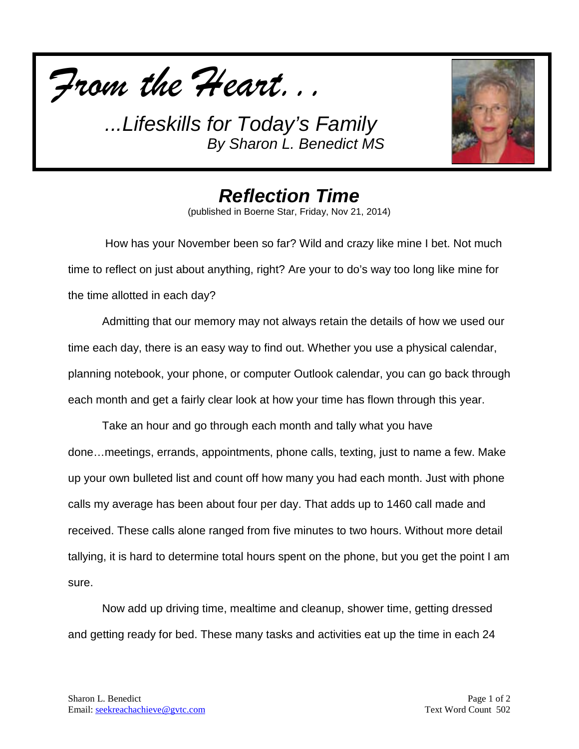

*...Lifeskills for Today's Family By Sharon L. Benedict MS*



*Reflection Time* (published in Boerne Star, Friday, Nov 21, 2014)

How has your November been so far? Wild and crazy like mine I bet. Not much time to reflect on just about anything, right? Are your to do's way too long like mine for the time allotted in each day?

Admitting that our memory may not always retain the details of how we used our time each day, there is an easy way to find out. Whether you use a physical calendar, planning notebook, your phone, or computer Outlook calendar, you can go back through each month and get a fairly clear look at how your time has flown through this year.

Take an hour and go through each month and tally what you have done…meetings, errands, appointments, phone calls, texting, just to name a few. Make up your own bulleted list and count off how many you had each month. Just with phone calls my average has been about four per day. That adds up to 1460 call made and received. These calls alone ranged from five minutes to two hours. Without more detail tallying, it is hard to determine total hours spent on the phone, but you get the point I am sure.

Now add up driving time, mealtime and cleanup, shower time, getting dressed and getting ready for bed. These many tasks and activities eat up the time in each 24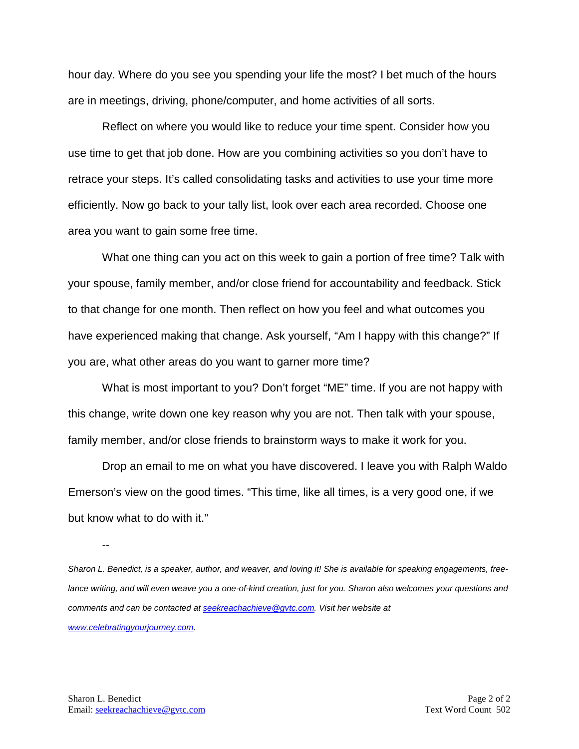hour day. Where do you see you spending your life the most? I bet much of the hours are in meetings, driving, phone/computer, and home activities of all sorts.

Reflect on where you would like to reduce your time spent. Consider how you use time to get that job done. How are you combining activities so you don't have to retrace your steps. It's called consolidating tasks and activities to use your time more efficiently. Now go back to your tally list, look over each area recorded. Choose one area you want to gain some free time.

What one thing can you act on this week to gain a portion of free time? Talk with your spouse, family member, and/or close friend for accountability and feedback. Stick to that change for one month. Then reflect on how you feel and what outcomes you have experienced making that change. Ask yourself, "Am I happy with this change?" If you are, what other areas do you want to garner more time?

What is most important to you? Don't forget "ME" time. If you are not happy with this change, write down one key reason why you are not. Then talk with your spouse, family member, and/or close friends to brainstorm ways to make it work for you.

Drop an email to me on what you have discovered. I leave you with Ralph Waldo Emerson's view on the good times. "This time, like all times, is a very good one, if we but know what to do with it."

--

*Sharon L. Benedict, is a speaker, author, and weaver, and loving it! She is available for speaking engagements, free*lance writing, and will even weave you a one-of-kind creation, just for you. Sharon also welcomes your questions and *comments and can be contacted a[t seekreachachieve@gvtc.com.](mailto:seekreachachieve@gvtc.com) Visit her website at [www.celebratingyourjourney.com.](http://www.celebratingyourjourney.com/)*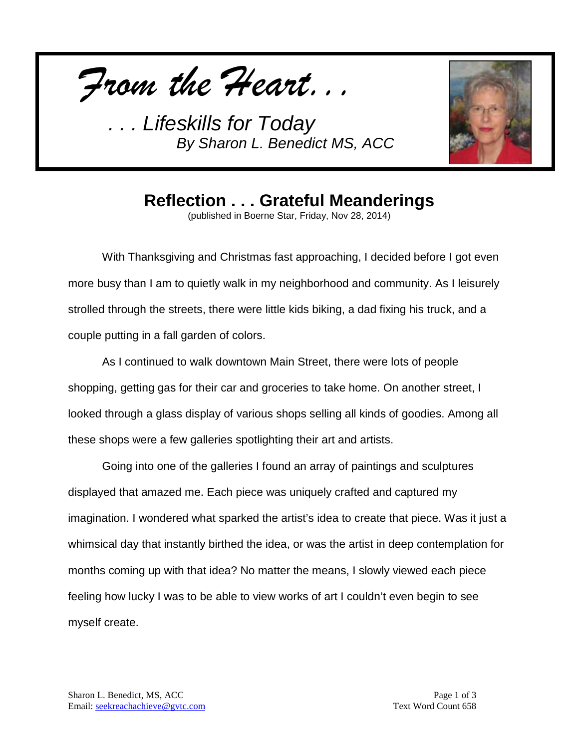*From the Heart...*

*. . . Lifeskills for Today By Sharon L. Benedict MS, ACC*



## **Reflection . . . Grateful Meanderings**

(published in Boerne Star, Friday, Nov 28, 2014)

With Thanksgiving and Christmas fast approaching, I decided before I got even more busy than I am to quietly walk in my neighborhood and community. As I leisurely strolled through the streets, there were little kids biking, a dad fixing his truck, and a couple putting in a fall garden of colors.

As I continued to walk downtown Main Street, there were lots of people shopping, getting gas for their car and groceries to take home. On another street, I looked through a glass display of various shops selling all kinds of goodies. Among all these shops were a few galleries spotlighting their art and artists.

Going into one of the galleries I found an array of paintings and sculptures displayed that amazed me. Each piece was uniquely crafted and captured my imagination. I wondered what sparked the artist's idea to create that piece. Was it just a whimsical day that instantly birthed the idea, or was the artist in deep contemplation for months coming up with that idea? No matter the means, I slowly viewed each piece feeling how lucky I was to be able to view works of art I couldn't even begin to see myself create.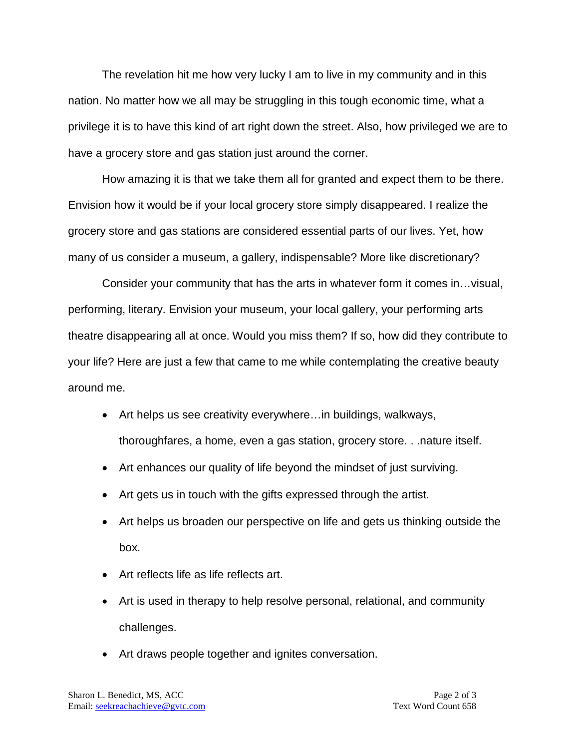The revelation hit me how very lucky I am to live in my community and in this nation. No matter how we all may be struggling in this tough economic time, what a privilege it is to have this kind of art right down the street. Also, how privileged we are to have a grocery store and gas station just around the corner.

How amazing it is that we take them all for granted and expect them to be there. Envision how it would be if your local grocery store simply disappeared. I realize the grocery store and gas stations are considered essential parts of our lives. Yet, how many of us consider a museum, a gallery, indispensable? More like discretionary?

Consider your community that has the arts in whatever form it comes in…visual, performing, literary. Envision your museum, your local gallery, your performing arts theatre disappearing all at once. Would you miss them? If so, how did they contribute to your life? Here are just a few that came to me while contemplating the creative beauty around me.

- Art helps us see creativity everywhere…in buildings, walkways, thoroughfares, a home, even a gas station, grocery store. . .nature itself.
- Art enhances our quality of life beyond the mindset of just surviving.
- Art gets us in touch with the gifts expressed through the artist.
- Art helps us broaden our perspective on life and gets us thinking outside the box.
- Art reflects life as life reflects art.
- Art is used in therapy to help resolve personal, relational, and community challenges.
- Art draws people together and ignites conversation.